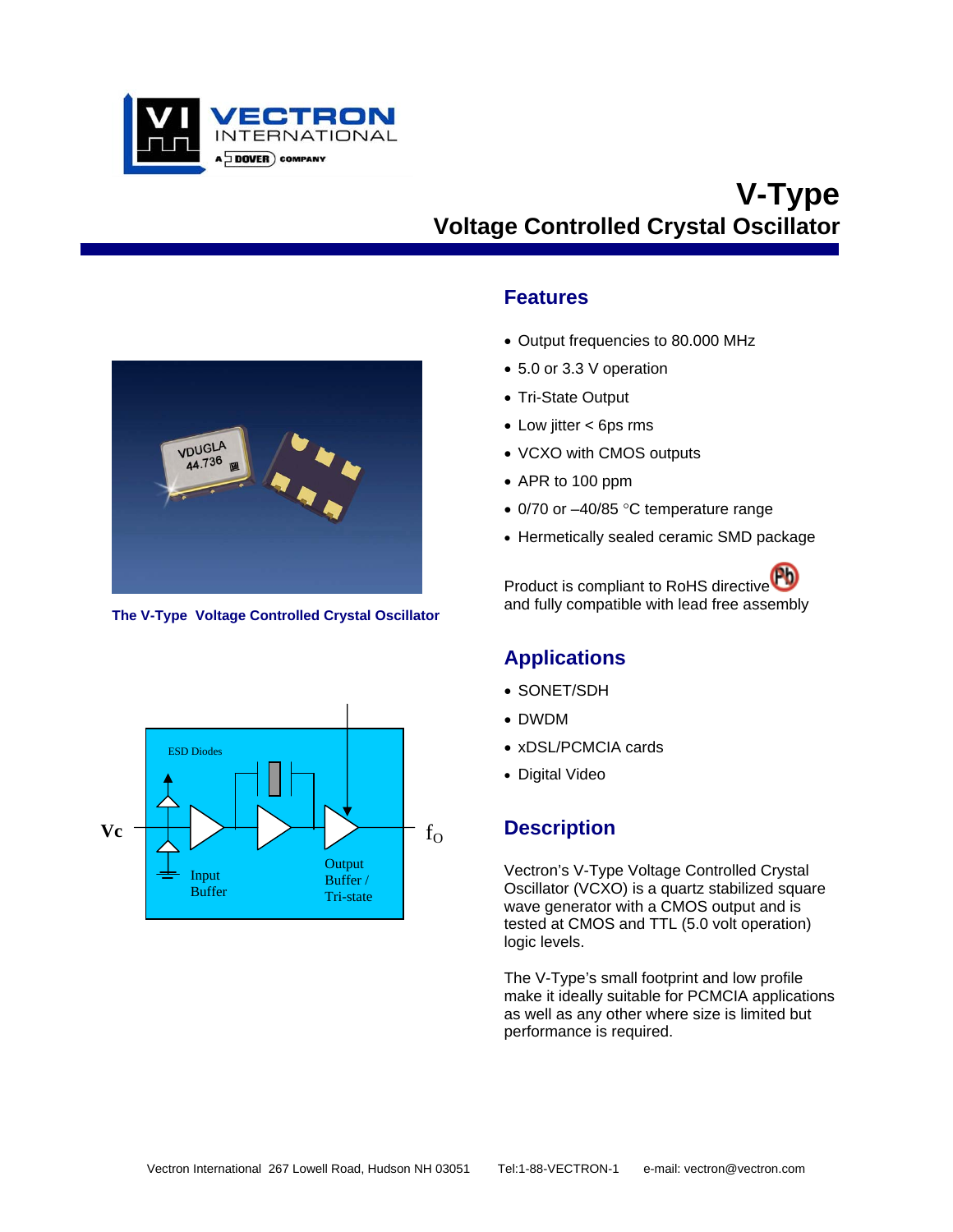

# **V-Type Voltage Controlled Crystal Oscillator**



**The V-Type Voltage Controlled Crystal Oscillator** 



- Output frequencies to 80.000 MHz
- 5.0 or 3.3 V operation
- Tri-State Output
- Low jitter < 6ps rms
- VCXO with CMOS outputs
- APR to 100 ppm
- 0/70 or -40/85 °C temperature range
- Hermetically sealed ceramic SMD package

Product is compliant to RoHS directive<sup>Pb</sup> and fully compatible with lead free assembly

## **Applications**

- SONET/SDH
- DWDM
- xDSL/PCMCIA cards
- Digital Video

## **Description**

Vectron's V-Type Voltage Controlled Crystal Oscillator (VCXO) is a quartz stabilized square wave generator with a CMOS output and is tested at CMOS and TTL (5.0 volt operation) logic levels.

The V-Type's small footprint and low profile make it ideally suitable for PCMCIA applications as well as any other where size is limited but performance is required.

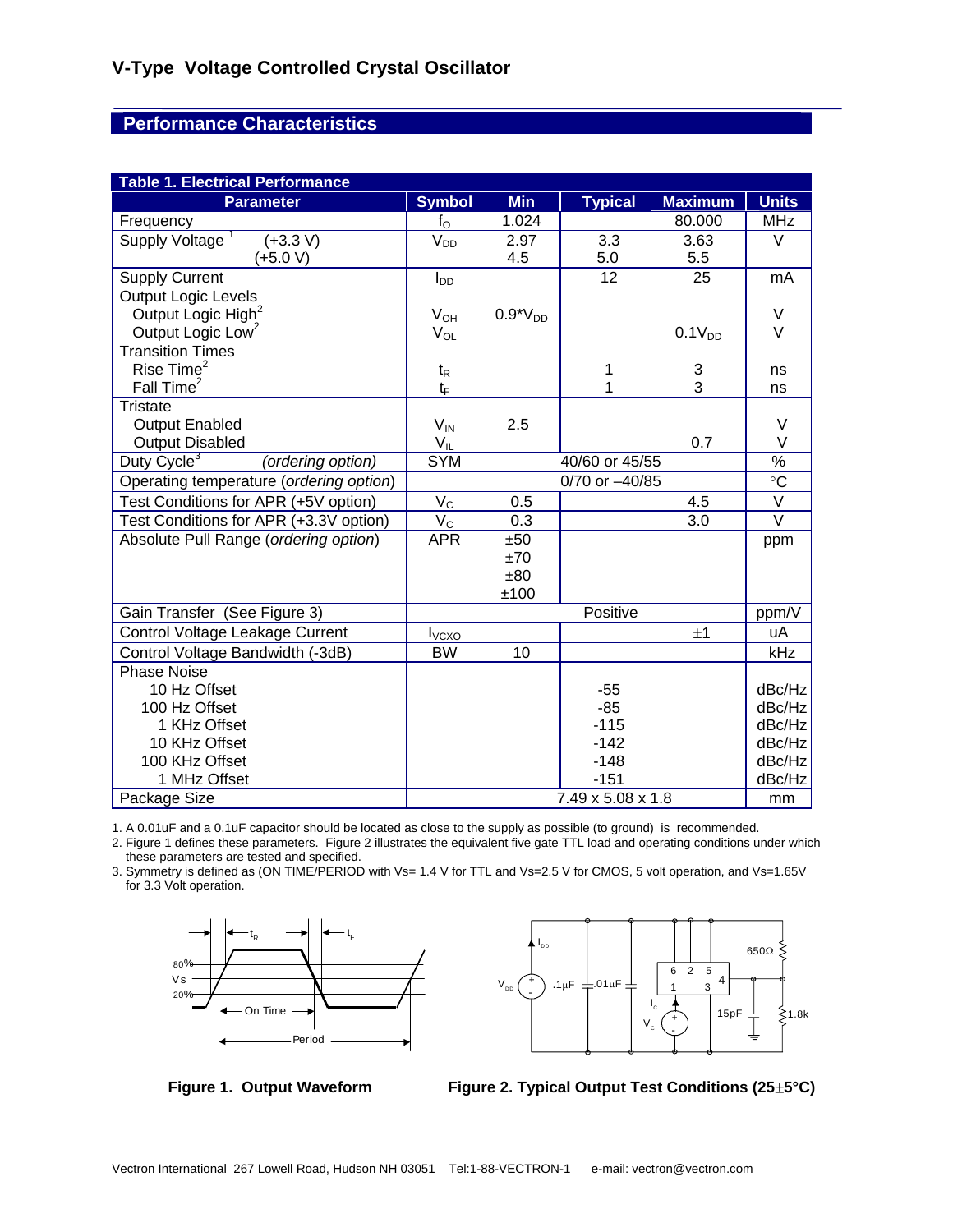## **Performance Characteristics**

| <b>Table 1. Electrical Performance</b>       |                                        |                |                   |                |                   |  |  |  |
|----------------------------------------------|----------------------------------------|----------------|-------------------|----------------|-------------------|--|--|--|
| <b>Parameter</b>                             | <b>Symbol</b>                          | <b>Min</b>     | <b>Typical</b>    | <b>Maximum</b> | <b>Units</b>      |  |  |  |
| Frequency                                    | $f_{\rm O}$                            | 1.024          |                   | 80.000         | <b>MHz</b>        |  |  |  |
| Supply Voltage <sup>1</sup><br>$(+3.3 V)$    | V <sub>DD</sub>                        | 2.97           | 3.3               | 3.63           | $\vee$            |  |  |  |
| (+5.0 V)                                     |                                        | 4.5            | 5.0               | 5.5            |                   |  |  |  |
| <b>Supply Current</b>                        | $I_{D\underline{D}}$                   |                | 12                | 25             | mA                |  |  |  |
| Output Logic Levels                          |                                        |                |                   |                |                   |  |  |  |
| Output Logic High <sup>2</sup>               | $V_{OH}$                               | $0.9*VDD$      |                   |                | $\vee$            |  |  |  |
| Output Logic Low <sup>2</sup>                | $\mathrm{V}_{\underline{\mathrm{OL}}}$ |                |                   | $0.1V_{DD}$    | V                 |  |  |  |
| <b>Transition Times</b>                      |                                        |                |                   |                |                   |  |  |  |
| Rise Time <sup>2</sup>                       | $t_{\mathsf{R}}$                       |                | 1                 | 3              | ns                |  |  |  |
| Fall Time <sup>2</sup>                       | $t_{\text{F}}$                         |                | 1                 | $\overline{3}$ | ns                |  |  |  |
| <b>Tristate</b>                              |                                        |                |                   |                |                   |  |  |  |
| <b>Output Enabled</b>                        | $V_{IN}$                               | 2.5            |                   |                | V                 |  |  |  |
| <b>Output Disabled</b>                       | $V_{IL}$                               |                |                   | 0.7            | $\vee$            |  |  |  |
| Duty Cycle <sup>3</sup><br>(ordering option) | <b>SYM</b>                             | 40/60 or 45/55 |                   |                | $\%$              |  |  |  |
| Operating temperature (ordering option)      |                                        | 0/70 or -40/85 |                   |                | $\circ$ C         |  |  |  |
| Test Conditions for APR (+5V option)         | $V_C$                                  | 0.5            |                   | 4.5            | $\overline{\vee}$ |  |  |  |
| Test Conditions for APR (+3.3V option)       | $V_C$                                  | 0.3            |                   | 3.0            | $\overline{\vee}$ |  |  |  |
| Absolute Pull Range (ordering option)        | <b>APR</b>                             | ±50            |                   |                | ppm               |  |  |  |
|                                              |                                        | ±70            |                   |                |                   |  |  |  |
|                                              |                                        | ±80            |                   |                |                   |  |  |  |
|                                              |                                        | ±100           |                   |                |                   |  |  |  |
| Gain Transfer (See Figure 3)                 |                                        |                | Positive          |                | ppm/V             |  |  |  |
| Control Voltage Leakage Current              | $I_{VCXO}$                             |                |                   | ±1             | uA                |  |  |  |
| Control Voltage Bandwidth (-3dB)             | <b>BW</b>                              | 10             |                   |                | kHz               |  |  |  |
| <b>Phase Noise</b>                           |                                        |                |                   |                |                   |  |  |  |
| 10 Hz Offset                                 |                                        |                | $-55$             |                | dBc/Hz            |  |  |  |
| 100 Hz Offset                                |                                        |                | $-85$             |                | dBc/Hz            |  |  |  |
| 1 KHz Offset                                 |                                        |                | $-115$            |                | dBc/Hz            |  |  |  |
| 10 KHz Offset                                |                                        |                | $-142$            |                | dBc/Hz            |  |  |  |
| 100 KHz Offset                               |                                        |                | $-148$            |                | dBc/Hz            |  |  |  |
| 1 MHz Offset                                 |                                        |                | $-151$            |                | dBc/Hz            |  |  |  |
| Package Size                                 |                                        |                | 7.49 x 5.08 x 1.8 |                | mm                |  |  |  |

1. A 0.01uF and a 0.1uF capacitor should be located as close to the supply as possible (to ground) is recommended.

2. Figure 1 defines these parameters. Figure 2 illustrates the equivalent five gate TTL load and operating conditions under which these parameters are tested and specified.

3. Symmetry is defined as (ON TIME/PERIOD with Vs= 1.4 V for TTL and Vs=2.5 V for CMOS, 5 volt operation, and Vs=1.65V for 3.3 Volt operation.





**Figure 1. Output Waveform Figure 2. Typical Output Test Conditions (25**±**5°C)**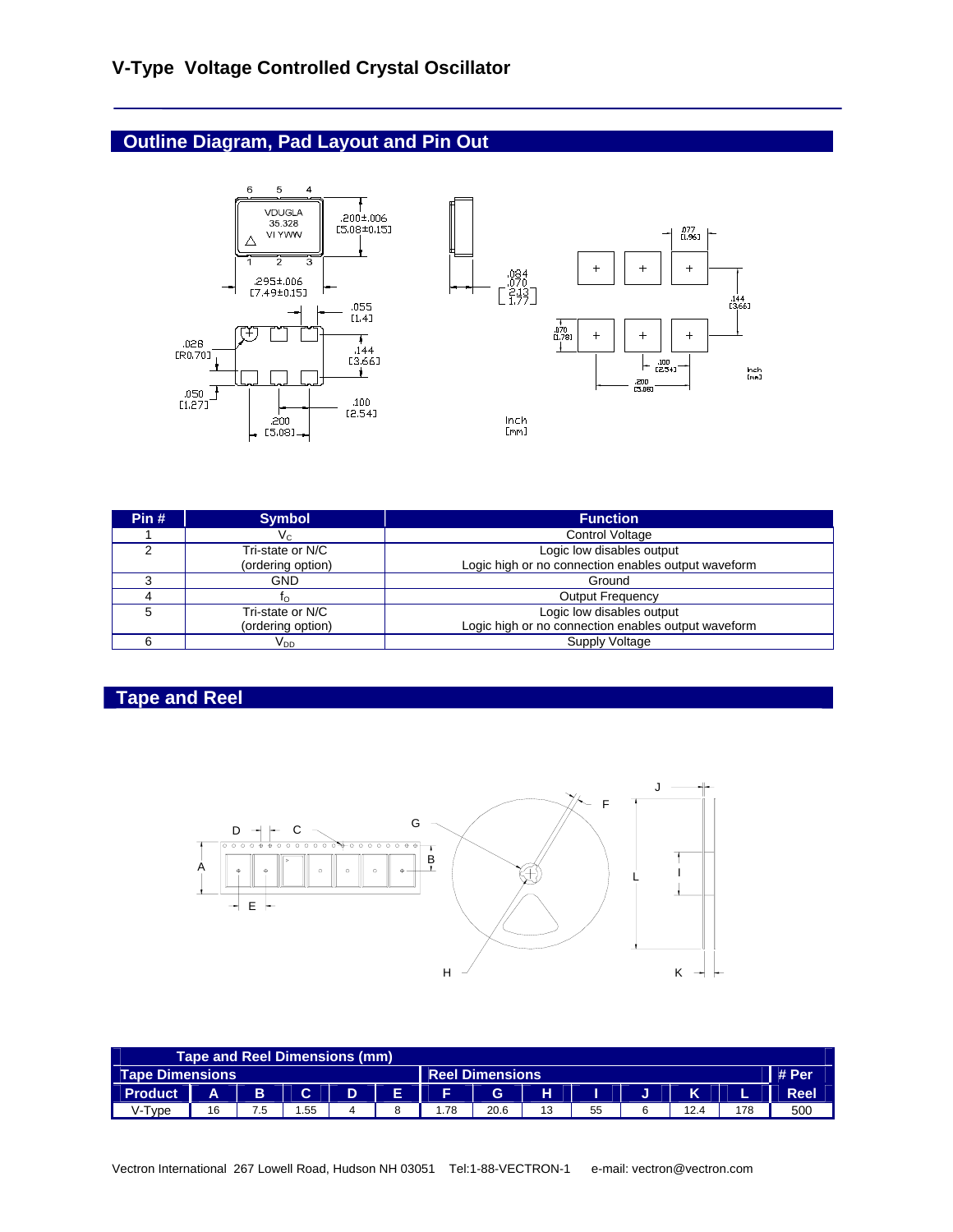# **Outline Diagram, Pad Layout and Pin Out**



| Pin# | <b>Symbol</b>     | <b>Function</b>                                     |
|------|-------------------|-----------------------------------------------------|
|      | V <sub>C</sub>    | <b>Control Voltage</b>                              |
| ົ    | Tri-state or N/C  | Logic low disables output                           |
|      | (ordering option) | Logic high or no connection enables output waveform |
|      | <b>GND</b>        | Ground                                              |
|      | IΟ                | <b>Output Frequency</b>                             |
|      | Tri-state or N/C  | Logic low disables output                           |
|      | (ordering option) | Logic high or no connection enables output waveform |
|      | V <sub>DD</sub>   | Supply Voltage                                      |

# **Tape and Reel**



| Tape and Reel Dimensions (mm)             |    |     |     |   |    |       |      |    |    |      |     |             |
|-------------------------------------------|----|-----|-----|---|----|-------|------|----|----|------|-----|-------------|
| Tape Dimensions<br><b>Reel Dimensions</b> |    |     |     |   |    | # Per |      |    |    |      |     |             |
| <b>Product</b>                            | A  | B   | C.  | D | F. | E.    | G    | н  |    | K    |     | <b>Reel</b> |
| V-Tvpe                                    | 16 | 7.5 | .55 |   |    | i.78  | 20.6 | 13 | 55 | 12.4 | 178 | 500         |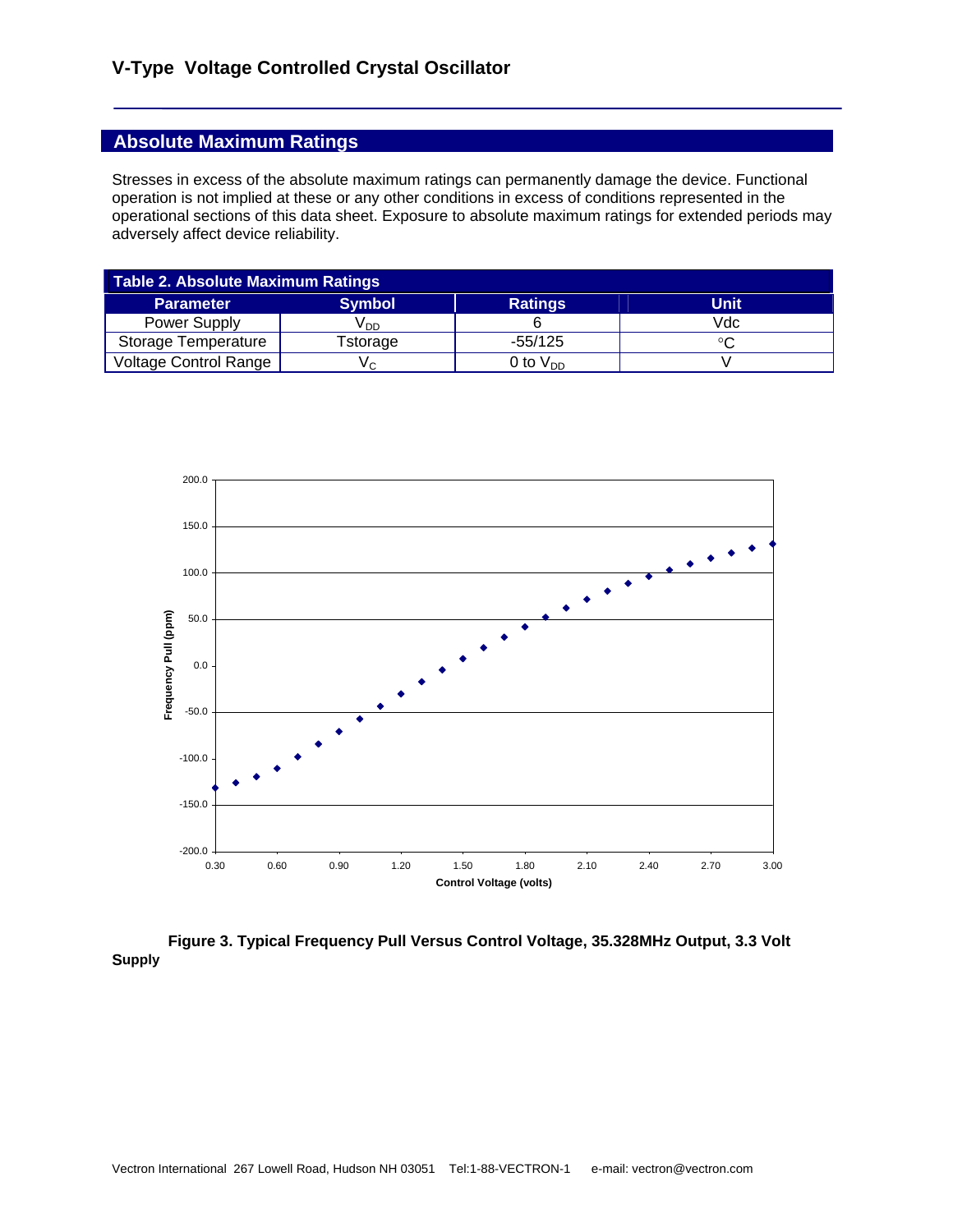### **Absolute Maximum Ratings**

Stresses in excess of the absolute maximum ratings can permanently damage the device. Functional operation is not implied at these or any other conditions in excess of conditions represented in the operational sections of this data sheet. Exposure to absolute maximum ratings for extended periods may adversely affect device reliability.

| Table 2. Absolute Maximum Ratings |                 |                |             |  |  |  |
|-----------------------------------|-----------------|----------------|-------------|--|--|--|
| <b>Parameter</b>                  | <b>Symbol</b>   | <b>Ratings</b> | <b>Unit</b> |  |  |  |
| Power Supply                      | V <sub>DD</sub> |                | Vdc         |  |  |  |
| Storage Temperature               | <b>Fstorage</b> | $-55/125$      |             |  |  |  |
| <b>Voltage Control Range</b>      | Vς              | 0 to $V_{DD}$  |             |  |  |  |



#### **Figure 3. Typical Frequency Pull Versus Control Voltage, 35.328MHz Output, 3.3 Volt Supply**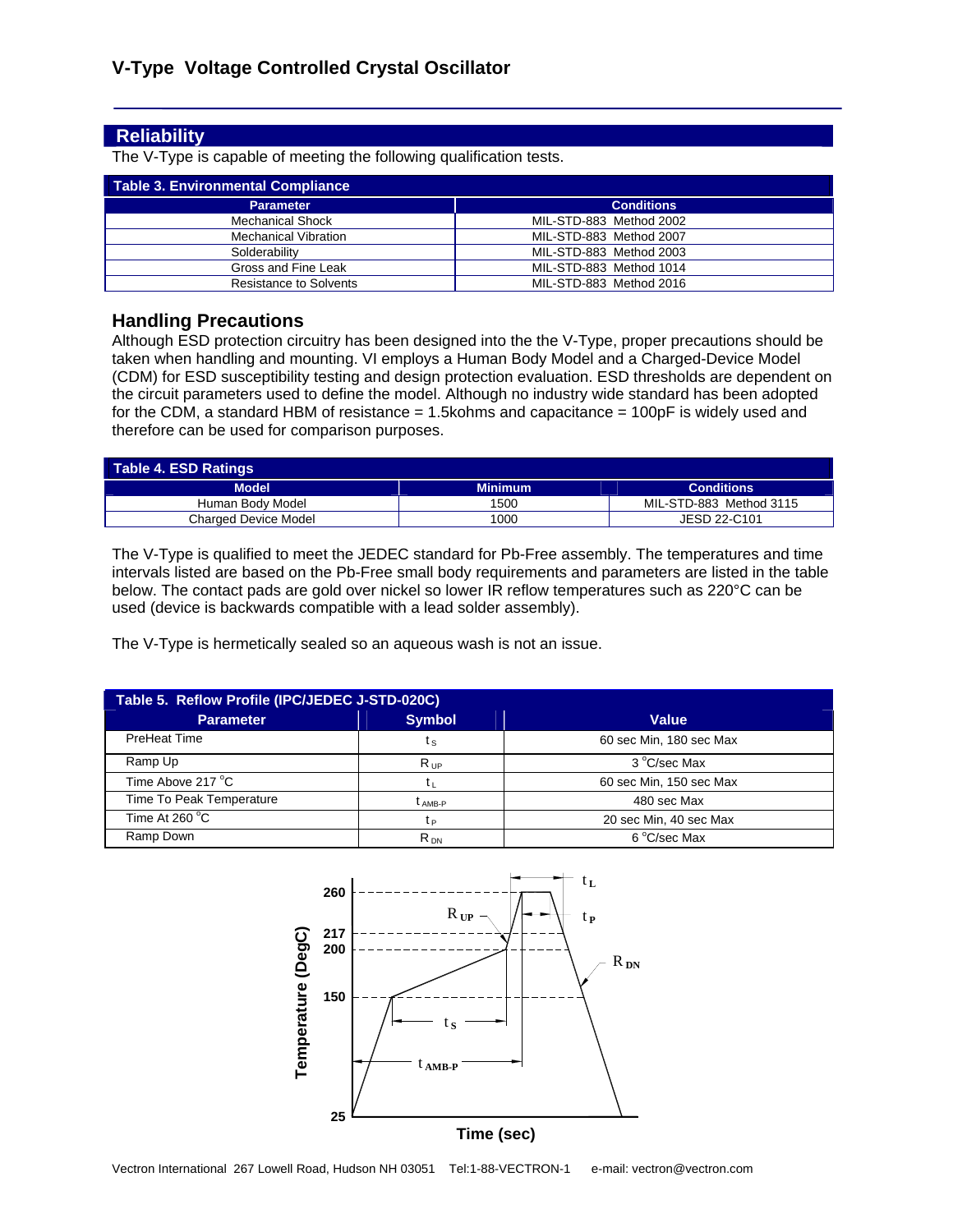#### **Reliability**

The V-Type is capable of meeting the following qualification tests.

| Table 3. Environmental Compliance |                         |
|-----------------------------------|-------------------------|
| <b>Parameter</b>                  | <b>Conditions</b>       |
| <b>Mechanical Shock</b>           | MIL-STD-883 Method 2002 |
| Mechanical Vibration              | MIL-STD-883 Method 2007 |
| Solderability                     | MIL-STD-883 Method 2003 |
| Gross and Fine Leak               | MIL-STD-883 Method 1014 |
| Resistance to Solvents            | MIL-STD-883 Method 2016 |

#### **Handling Precautions**

Although ESD protection circuitry has been designed into the the V-Type, proper precautions should be taken when handling and mounting. VI employs a Human Body Model and a Charged-Device Model (CDM) for ESD susceptibility testing and design protection evaluation. ESD thresholds are dependent on the circuit parameters used to define the model. Although no industry wide standard has been adopted for the CDM, a standard HBM of resistance  $= 1.5$ kohms and capacitance  $= 100$ pF is widely used and therefore can be used for comparison purposes.

| <b>Table 4. ESD Ratings</b> |                |                          |  |  |  |
|-----------------------------|----------------|--------------------------|--|--|--|
| <b>Model</b><br>__          | <b>Minimum</b> | <b>Conditions</b><br>___ |  |  |  |
| Human Body Model            | 1500           | MIL-STD-883 Method 3115  |  |  |  |
| <b>Charged Device Model</b> | 1000           | JESD 22-C101             |  |  |  |

The V-Type is qualified to meet the JEDEC standard for Pb-Free assembly. The temperatures and time intervals listed are based on the Pb-Free small body requirements and parameters are listed in the table below. The contact pads are gold over nickel so lower IR reflow temperatures such as 220°C can be used (device is backwards compatible with a lead solder assembly).

The V-Type is hermetically sealed so an aqueous wash is not an issue.

| Table 5. Reflow Profile (IPC/JEDEC J-STD-020C) |                    |                         |  |  |  |  |
|------------------------------------------------|--------------------|-------------------------|--|--|--|--|
| <b>Parameter</b>                               | <b>Symbol</b>      | <b>Value</b>            |  |  |  |  |
| PreHeat Time                                   | tς                 | 60 sec Min, 180 sec Max |  |  |  |  |
| Ramp Up                                        | $R_{UP}$           | 3 °C/sec Max            |  |  |  |  |
| Time Above 217 °C                              |                    | 60 sec Min, 150 sec Max |  |  |  |  |
| Time To Peak Temperature                       | t <sub>AMB-P</sub> | 480 sec Max             |  |  |  |  |
| Time At $260^{\circ}$ C                        | tр                 | 20 sec Min, 40 sec Max  |  |  |  |  |
| Ramp Down                                      | $R_{DN}$           | 6 °C/sec Max            |  |  |  |  |